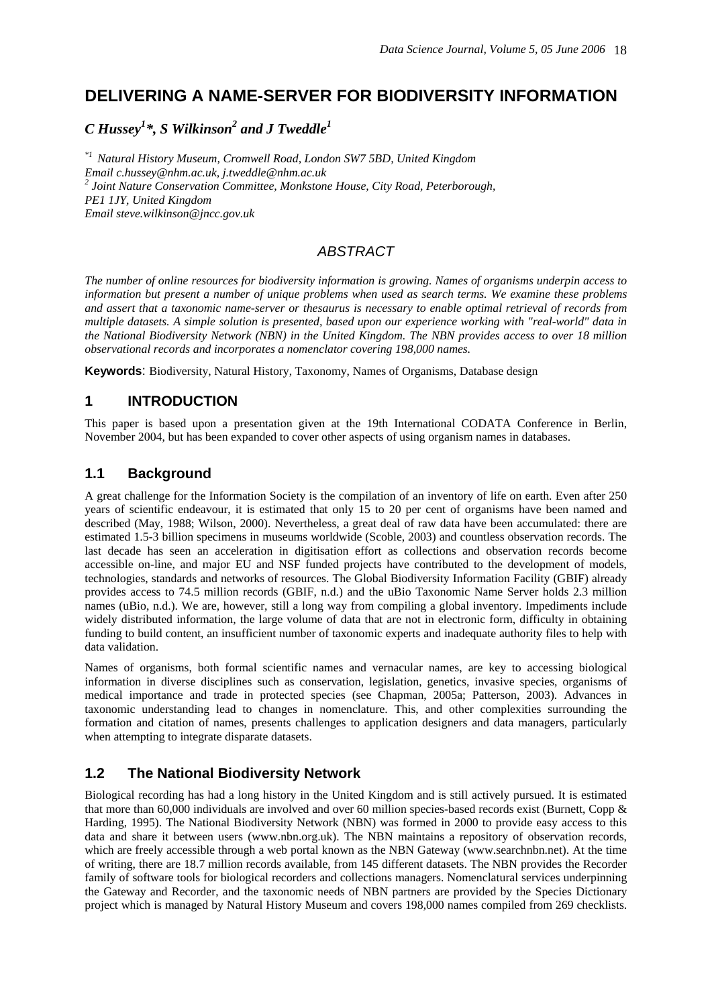# **DELIVERING A NAME-SERVER FOR BIODIVERSITY INFORMATION**

# $C$  Hussey<sup>1</sup>\*, S Wilkinson<sup>2</sup> and J Tweddle<sup>1</sup>

*\*1 Natural History Museum, Cromwell Road, London SW7 5BD, United Kingdom Email c.hussey@nhm.ac.uk, j.tweddle@nhm.ac.uk <sup>2</sup> Joint Nature Conservation Committee, Monkstone House, City Road, Peterborough, PE1 1JY, United Kingdom Email steve.wilkinson@jncc.gov.uk*

# *ABSTRACT*

*The number of online resources for biodiversity information is growing. Names of organisms underpin access to information but present a number of unique problems when used as search terms. We examine these problems and assert that a taxonomic name-server or thesaurus is necessary to enable optimal retrieval of records from multiple datasets. A simple solution is presented, based upon our experience working with "real-world" data in the National Biodiversity Network (NBN) in the United Kingdom. The NBN provides access to over 18 million observational records and incorporates a nomenclator covering 198,000 names.* 

**Keywords**: Biodiversity, Natural History, Taxonomy, Names of Organisms, Database design

## **1 INTRODUCTION**

This paper is based upon a presentation given at the 19th International CODATA Conference in Berlin, November 2004, but has been expanded to cover other aspects of using organism names in databases.

### **1.1 Background**

A great challenge for the Information Society is the compilation of an inventory of life on earth. Even after 250 years of scientific endeavour, it is estimated that only 15 to 20 per cent of organisms have been named and described (May, 1988; Wilson, 2000). Nevertheless, a great deal of raw data have been accumulated: there are estimated 1.5-3 billion specimens in museums worldwide (Scoble, 2003) and countless observation records. The last decade has seen an acceleration in digitisation effort as collections and observation records become accessible on-line, and major EU and NSF funded projects have contributed to the development of models, technologies, standards and networks of resources. The Global Biodiversity Information Facility (GBIF) already provides access to 74.5 million records (GBIF, n.d.) and the uBio Taxonomic Name Server holds 2.3 million names (uBio, n.d.). We are, however, still a long way from compiling a global inventory. Impediments include widely distributed information, the large volume of data that are not in electronic form, difficulty in obtaining funding to build content, an insufficient number of taxonomic experts and inadequate authority files to help with data validation.

Names of organisms, both formal scientific names and vernacular names, are key to accessing biological information in diverse disciplines such as conservation, legislation, genetics, invasive species, organisms of medical importance and trade in protected species (see Chapman, 2005a; Patterson, 2003). Advances in taxonomic understanding lead to changes in nomenclature. This, and other complexities surrounding the formation and citation of names, presents challenges to application designers and data managers, particularly when attempting to integrate disparate datasets.

## **1.2 The National Biodiversity Network**

Biological recording has had a long history in the United Kingdom and is still actively pursued. It is estimated that more than 60,000 individuals are involved and over 60 million species-based records exist (Burnett, Copp & Harding, 1995). The National Biodiversity Network (NBN) was formed in 2000 to provide easy access to this data and share it between users (www.nbn.org.uk). The NBN maintains a repository of observation records, which are freely accessible through a web portal known as the NBN Gateway (www.searchnbn.net). At the time of writing, there are 18.7 million records available, from 145 different datasets. The NBN provides the Recorder family of software tools for biological recorders and collections managers. Nomenclatural services underpinning the Gateway and Recorder, and the taxonomic needs of NBN partners are provided by the Species Dictionary project which is managed by Natural History Museum and covers 198,000 names compiled from 269 checklists.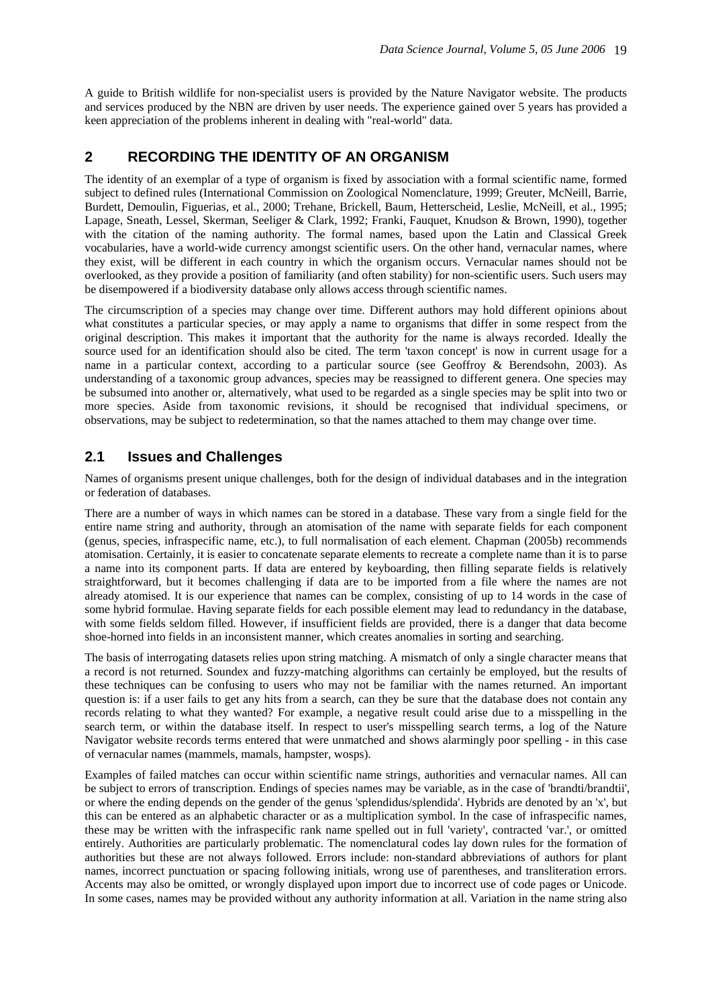A guide to British wildlife for non-specialist users is provided by the Nature Navigator website. The products and services produced by the NBN are driven by user needs. The experience gained over 5 years has provided a keen appreciation of the problems inherent in dealing with "real-world" data.

## **2 RECORDING THE IDENTITY OF AN ORGANISM**

The identity of an exemplar of a type of organism is fixed by association with a formal scientific name, formed subject to defined rules (International Commission on Zoological Nomenclature, 1999; Greuter, McNeill, Barrie, Burdett, Demoulin, Figuerias, et al., 2000; Trehane, Brickell, Baum, Hetterscheid, Leslie, McNeill, et al., 1995; Lapage, Sneath, Lessel, Skerman, Seeliger & Clark, 1992; Franki, Fauquet, Knudson & Brown, 1990), together with the citation of the naming authority. The formal names, based upon the Latin and Classical Greek vocabularies, have a world-wide currency amongst scientific users. On the other hand, vernacular names, where they exist, will be different in each country in which the organism occurs. Vernacular names should not be overlooked, as they provide a position of familiarity (and often stability) for non-scientific users. Such users may be disempowered if a biodiversity database only allows access through scientific names.

The circumscription of a species may change over time. Different authors may hold different opinions about what constitutes a particular species, or may apply a name to organisms that differ in some respect from the original description. This makes it important that the authority for the name is always recorded. Ideally the source used for an identification should also be cited. The term 'taxon concept' is now in current usage for a name in a particular context, according to a particular source (see Geoffroy & Berendsohn, 2003). As understanding of a taxonomic group advances, species may be reassigned to different genera. One species may be subsumed into another or, alternatively, what used to be regarded as a single species may be split into two or more species. Aside from taxonomic revisions, it should be recognised that individual specimens, or observations, may be subject to redetermination, so that the names attached to them may change over time.

### **2.1 Issues and Challenges**

Names of organisms present unique challenges, both for the design of individual databases and in the integration or federation of databases.

There are a number of ways in which names can be stored in a database. These vary from a single field for the entire name string and authority, through an atomisation of the name with separate fields for each component (genus, species, infraspecific name, etc.), to full normalisation of each element. Chapman (2005b) recommends atomisation. Certainly, it is easier to concatenate separate elements to recreate a complete name than it is to parse a name into its component parts. If data are entered by keyboarding, then filling separate fields is relatively straightforward, but it becomes challenging if data are to be imported from a file where the names are not already atomised. It is our experience that names can be complex, consisting of up to 14 words in the case of some hybrid formulae. Having separate fields for each possible element may lead to redundancy in the database, with some fields seldom filled. However, if insufficient fields are provided, there is a danger that data become shoe-horned into fields in an inconsistent manner, which creates anomalies in sorting and searching.

The basis of interrogating datasets relies upon string matching. A mismatch of only a single character means that a record is not returned. Soundex and fuzzy-matching algorithms can certainly be employed, but the results of these techniques can be confusing to users who may not be familiar with the names returned. An important question is: if a user fails to get any hits from a search, can they be sure that the database does not contain any records relating to what they wanted? For example, a negative result could arise due to a misspelling in the search term, or within the database itself. In respect to user's misspelling search terms, a log of the Nature Navigator website records terms entered that were unmatched and shows alarmingly poor spelling - in this case of vernacular names (mammels, mamals, hampster, wosps).

Examples of failed matches can occur within scientific name strings, authorities and vernacular names. All can be subject to errors of transcription. Endings of species names may be variable, as in the case of 'brandti/brandtii', or where the ending depends on the gender of the genus 'splendidus/splendida'. Hybrids are denoted by an 'x', but this can be entered as an alphabetic character or as a multiplication symbol. In the case of infraspecific names, these may be written with the infraspecific rank name spelled out in full 'variety', contracted 'var.', or omitted entirely. Authorities are particularly problematic. The nomenclatural codes lay down rules for the formation of authorities but these are not always followed. Errors include: non-standard abbreviations of authors for plant names, incorrect punctuation or spacing following initials, wrong use of parentheses, and transliteration errors. Accents may also be omitted, or wrongly displayed upon import due to incorrect use of code pages or Unicode. In some cases, names may be provided without any authority information at all. Variation in the name string also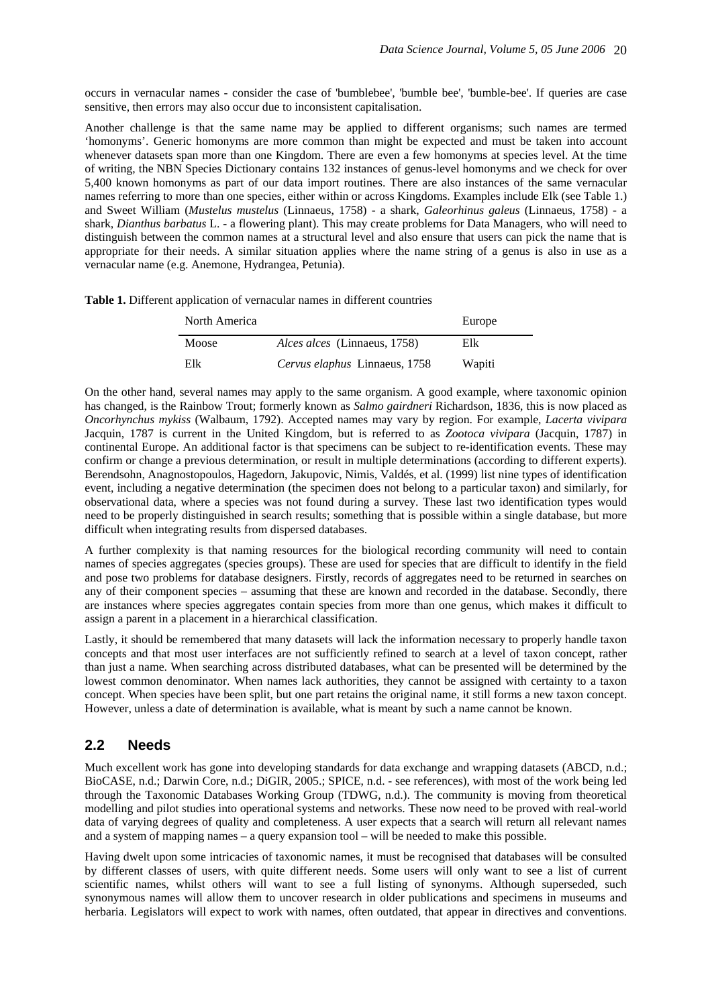occurs in vernacular names - consider the case of 'bumblebee', 'bumble bee', 'bumble-bee'. If queries are case sensitive, then errors may also occur due to inconsistent capitalisation.

Another challenge is that the same name may be applied to different organisms; such names are termed 'homonyms'. Generic homonyms are more common than might be expected and must be taken into account whenever datasets span more than one Kingdom. There are even a few homonyms at species level. At the time of writing, the NBN Species Dictionary contains 132 instances of genus-level homonyms and we check for over 5,400 known homonyms as part of our data import routines. There are also instances of the same vernacular names referring to more than one species, either within or across Kingdoms. Examples include Elk (see Table 1.) and Sweet William (*Mustelus mustelus* (Linnaeus, 1758) - a shark, *Galeorhinus galeus* (Linnaeus, 1758) - a shark, *Dianthus barbatus* L. - a flowering plant). This may create problems for Data Managers, who will need to distinguish between the common names at a structural level and also ensure that users can pick the name that is appropriate for their needs. A similar situation applies where the name string of a genus is also in use as a vernacular name (e.g. Anemone, Hydrangea, Petunia).

**Table 1.** Different application of vernacular names in different countries

| North America |                                     | Europe |
|---------------|-------------------------------------|--------|
| Moose         | <i>Alces alces</i> (Linnaeus, 1758) | Elk    |
| Elk           | Cervus elaphus Linnaeus, 1758       | Wapiti |

On the other hand, several names may apply to the same organism. A good example, where taxonomic opinion has changed, is the Rainbow Trout; formerly known as *Salmo gairdneri* Richardson, 1836, this is now placed as *Oncorhynchus mykiss* (Walbaum, 1792). Accepted names may vary by region. For example, *Lacerta vivipara* Jacquin, 1787 is current in the United Kingdom, but is referred to as *Zootoca vivipara* (Jacquin, 1787) in continental Europe. An additional factor is that specimens can be subject to re-identification events. These may confirm or change a previous determination, or result in multiple determinations (according to different experts). Berendsohn, Anagnostopoulos, Hagedorn, Jakupovic, Nimis, Valdés, et al. (1999) list nine types of identification event, including a negative determination (the specimen does not belong to a particular taxon) and similarly, for observational data, where a species was not found during a survey. These last two identification types would need to be properly distinguished in search results; something that is possible within a single database, but more difficult when integrating results from dispersed databases.

A further complexity is that naming resources for the biological recording community will need to contain names of species aggregates (species groups). These are used for species that are difficult to identify in the field and pose two problems for database designers. Firstly, records of aggregates need to be returned in searches on any of their component species – assuming that these are known and recorded in the database. Secondly, there are instances where species aggregates contain species from more than one genus, which makes it difficult to assign a parent in a placement in a hierarchical classification.

Lastly, it should be remembered that many datasets will lack the information necessary to properly handle taxon concepts and that most user interfaces are not sufficiently refined to search at a level of taxon concept, rather than just a name. When searching across distributed databases, what can be presented will be determined by the lowest common denominator. When names lack authorities, they cannot be assigned with certainty to a taxon concept. When species have been split, but one part retains the original name, it still forms a new taxon concept. However, unless a date of determination is available, what is meant by such a name cannot be known.

### **2.2 Needs**

Much excellent work has gone into developing standards for data exchange and wrapping datasets (ABCD, n.d.; BioCASE, n.d.; Darwin Core, n.d.; DiGIR, 2005.; SPICE, n.d. - see references), with most of the work being led through the Taxonomic Databases Working Group (TDWG, n.d.). The community is moving from theoretical modelling and pilot studies into operational systems and networks. These now need to be proved with real-world data of varying degrees of quality and completeness. A user expects that a search will return all relevant names and a system of mapping names – a query expansion tool – will be needed to make this possible.

Having dwelt upon some intricacies of taxonomic names, it must be recognised that databases will be consulted by different classes of users, with quite different needs. Some users will only want to see a list of current scientific names, whilst others will want to see a full listing of synonyms. Although superseded, such synonymous names will allow them to uncover research in older publications and specimens in museums and herbaria. Legislators will expect to work with names, often outdated, that appear in directives and conventions.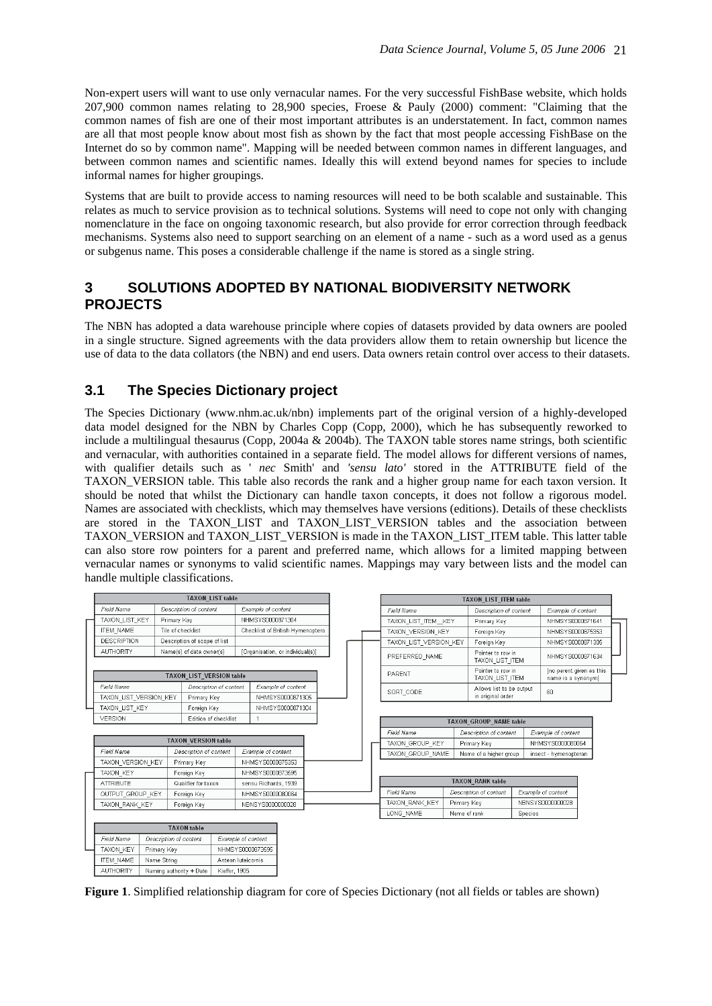Non-expert users will want to use only vernacular names. For the very successful FishBase website, which holds 207,900 common names relating to 28,900 species, Froese & Pauly (2000) comment: "Claiming that the common names of fish are one of their most important attributes is an understatement. In fact, common names are all that most people know about most fish as shown by the fact that most people accessing FishBase on the Internet do so by common name". Mapping will be needed between common names in different languages, and between common names and scientific names. Ideally this will extend beyond names for species to include informal names for higher groupings.

Systems that are built to provide access to naming resources will need to be both scalable and sustainable. This relates as much to service provision as to technical solutions. Systems will need to cope not only with changing nomenclature in the face on ongoing taxonomic research, but also provide for error correction through feedback mechanisms. Systems also need to support searching on an element of a name - such as a word used as a genus or subgenus name. This poses a considerable challenge if the name is stored as a single string.

## **3 SOLUTIONS ADOPTED BY NATIONAL BIODIVERSITY NETWORK PROJECTS**

The NBN has adopted a data warehouse principle where copies of datasets provided by data owners are pooled in a single structure. Signed agreements with the data providers allow them to retain ownership but licence the use of data to the data collators (the NBN) and end users. Data owners retain control over access to their datasets.

## **3.1 The Species Dictionary project**

The Species Dictionary (www.nhm.ac.uk/nbn) implements part of the original version of a highly-developed data model designed for the NBN by Charles Copp (Copp, 2000), which he has subsequently reworked to include a multilingual thesaurus (Copp, 2004a & 2004b). The TAXON table stores name strings, both scientific and vernacular, with authorities contained in a separate field. The model allows for different versions of names, with qualifier details such as ' *nec* Smith' and *'sensu lato'* stored in the ATTRIBUTE field of the TAXON\_VERSION table. This table also records the rank and a higher group name for each taxon version. It should be noted that whilst the Dictionary can handle taxon concepts, it does not follow a rigorous model. Names are associated with checklists, which may themselves have versions (editions). Details of these checklists are stored in the TAXON\_LIST and TAXON\_LIST\_VERSION tables and the association between TAXON\_VERSION and TAXON\_LIST\_VERSION is made in the TAXON\_LIST\_ITEM table. This latter table can also store row pointers for a parent and preferred name, which allows for a limited mapping between vernacular names or synonyms to valid scientific names. Mappings may vary between lists and the model can handle multiple classifications.

| <b>TAXON LIST table</b> |                                                            |                                 |                  |                              |                        |                                  | <b>TAXON LIST ITEM table</b>           |                               |                                      |                        |                                                |                                               |                        |                  |                    |
|-------------------------|------------------------------------------------------------|---------------------------------|------------------|------------------------------|------------------------|----------------------------------|----------------------------------------|-------------------------------|--------------------------------------|------------------------|------------------------------------------------|-----------------------------------------------|------------------------|------------------|--------------------|
|                         | Field Name                                                 |                                 |                  | Description of content       |                        | Example of content               |                                        |                               |                                      | Field Name             |                                                |                                               | Description of content |                  | Example of content |
|                         | TAXON LIST KEY                                             | Primary Key                     |                  |                              | NHMSYS0000871304       |                                  |                                        | TAXON LIST ITEM KEY           |                                      | Primary Key            |                                                | NHMSYS0000871641                              |                        |                  |                    |
|                         | <b>ITEM NAME</b>                                           |                                 |                  | Tile of checklist            |                        | Checklist of British Hymenoptera |                                        |                               | TAXON VERSION KEY                    |                        | Foreign Key                                    |                                               | NHMSYS0000875353       |                  |                    |
|                         | <b>DESCRIPTION</b>                                         |                                 |                  | Description of scope of list |                        |                                  |                                        |                               | TAXON LIST VERSION KEY               |                        | Foreign Key                                    |                                               |                        | NHMSYS0000871305 |                    |
|                         | <b>AUTHORITY</b>                                           |                                 |                  | Name(s) of data owner(s)     |                        | [Organisation, or individual(s)] |                                        |                               | PREFERRED NAME                       |                        | Pointer to row in<br>TAXON LIST ITEM           |                                               | NHMSYS0000871634       |                  |                    |
|                         | <b>TAXON LIST VERSION table</b>                            |                                 |                  |                              |                        |                                  | <b>PARENT</b>                          |                               | Pointer to row in<br>TAXON_LIST_ITEM |                        | [no parent given as this<br>name is a synonym] |                                               |                        |                  |                    |
|                         | Field Name<br>TAXON LIST VERSION KEY                       |                                 |                  | Primary Key                  | Description of content |                                  | Example of content<br>NHMSYS0000871305 |                               |                                      | SORT CODE              |                                                | Allows list to be output<br>in original order |                        | 60               |                    |
|                         | TAXON LIST KEY                                             |                                 |                  | Foreign Key                  |                        |                                  | NHMSYS0000871304                       |                               |                                      |                        |                                                |                                               |                        |                  |                    |
|                         | VERSION<br>Edition of checklist                            |                                 |                  |                              |                        |                                  |                                        | <b>TAXON GROUP NAME table</b> |                                      |                        |                                                |                                               |                        |                  |                    |
|                         |                                                            |                                 |                  |                              |                        |                                  |                                        | Field Name                    |                                      | Description of content | Example of content                             |                                               |                        |                  |                    |
|                         | <b>TAXON VERSION table</b>                                 |                                 |                  |                              |                        | TAXON GROUP KEY<br>Primary Key   |                                        |                               |                                      | NHMSYS0000080064       |                                                |                                               |                        |                  |                    |
|                         | Field Name<br>Description of content                       |                                 |                  | Example of content           |                        |                                  |                                        | TAXON GROUP NAME              |                                      | Name of a higher group |                                                | insect - hymenopteran                         |                        |                  |                    |
|                         | TAXON VERSION KEY<br>Primary Key                           |                                 |                  | NHMSYS0000875353             |                        |                                  |                                        |                               |                                      |                        |                                                |                                               |                        |                  |                    |
|                         | TAXON KEY<br>Foreign Key                                   |                                 |                  |                              | NHMSYS0000873595       |                                  |                                        |                               |                                      |                        |                                                |                                               |                        |                  |                    |
|                         | <b>ATTRIBUTE</b>                                           |                                 |                  | Qualifier for taxon          |                        | sensu Richards, 1939             |                                        |                               |                                      |                        |                                                | <b>TAXON RANK table</b>                       |                        |                  |                    |
|                         |                                                            | OUTPUT GROUP KEY<br>Foreign Key |                  |                              |                        | NHMSYS0000080064                 |                                        |                               | Field Name                           |                        | Description of content                         |                                               | Example of content     |                  |                    |
|                         | TAXON RANK KEY<br>Foreign Key                              |                                 |                  |                              | NBNSYS0000000028       |                                  |                                        | TAXON RANK KEY                |                                      | Primary Key            |                                                | NBNSYS0000000028                              |                        |                  |                    |
|                         |                                                            |                                 |                  |                              |                        |                                  |                                        | LONG NAME                     |                                      | Name of rank           | Species                                        |                                               |                        |                  |                    |
|                         | <b>TAXON</b> table                                         |                                 |                  |                              |                        |                                  |                                        |                               |                                      |                        |                                                |                                               |                        |                  |                    |
|                         | Field Name<br>Description of content<br>Example of content |                                 |                  |                              |                        |                                  |                                        |                               |                                      |                        |                                                |                                               |                        |                  |                    |
|                         | TAXON KEY<br>Primary Key                                   |                                 | NHMSYS0000873595 |                              |                        |                                  |                                        |                               |                                      |                        |                                                |                                               |                        |                  |                    |
|                         | <b>ITEM NAME</b>                                           | Name String                     |                  |                              | Anteon luteicornis     |                                  |                                        |                               |                                      |                        |                                                |                                               |                        |                  |                    |
|                         | <b>AUTHORITY</b><br>Naming authority + Date                |                                 | Kieffer, 1905    |                              |                        |                                  |                                        |                               |                                      |                        |                                                |                                               |                        |                  |                    |

**Figure 1**. Simplified relationship diagram for core of Species Dictionary (not all fields or tables are shown)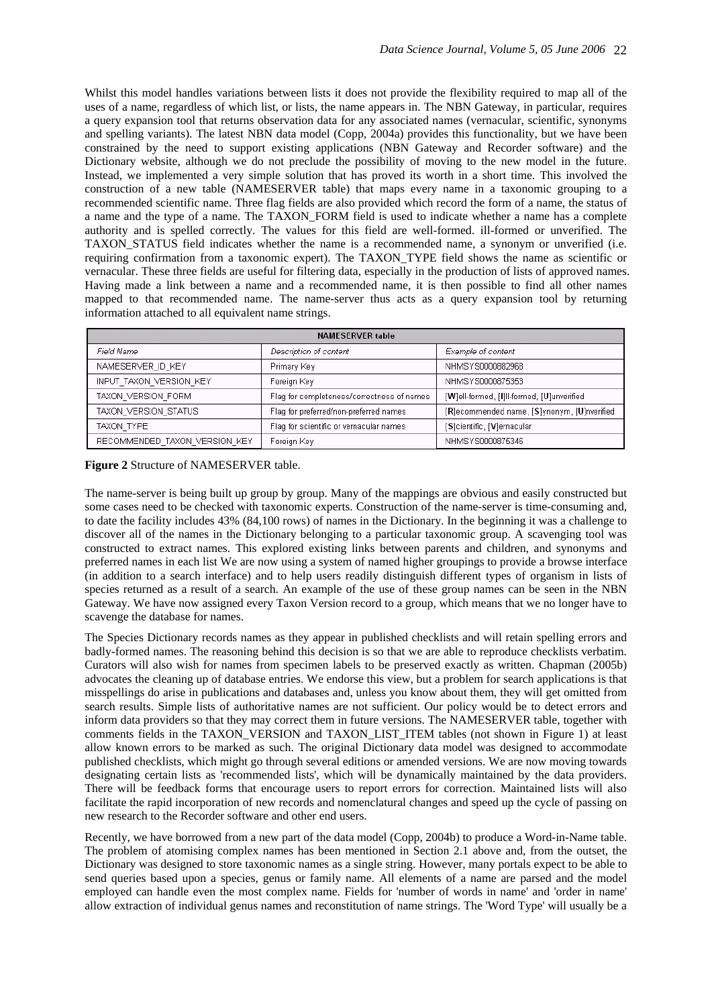Whilst this model handles variations between lists it does not provide the flexibility required to map all of the uses of a name, regardless of which list, or lists, the name appears in. The NBN Gateway, in particular, requires a query expansion tool that returns observation data for any associated names (vernacular, scientific, synonyms and spelling variants). The latest NBN data model (Copp, 2004a) provides this functionality, but we have been constrained by the need to support existing applications (NBN Gateway and Recorder software) and the Dictionary website, although we do not preclude the possibility of moving to the new model in the future. Instead, we implemented a very simple solution that has proved its worth in a short time. This involved the construction of a new table (NAMESERVER table) that maps every name in a taxonomic grouping to a recommended scientific name. Three flag fields are also provided which record the form of a name, the status of a name and the type of a name. The TAXON FORM field is used to indicate whether a name has a complete authority and is spelled correctly. The values for this field are well-formed. ill-formed or unverified. The TAXON STATUS field indicates whether the name is a recommended name, a synonym or unverified (i.e. requiring confirmation from a taxonomic expert). The TAXON\_TYPE field shows the name as scientific or vernacular. These three fields are useful for filtering data, especially in the production of lists of approved names. Having made a link between a name and a recommended name, it is then possible to find all other names mapped to that recommended name. The name-server thus acts as a query expansion tool by returning information attached to all equivalent name strings.

| <b>NAMESERVER table</b>       |                                            |                                             |  |  |  |  |  |  |
|-------------------------------|--------------------------------------------|---------------------------------------------|--|--|--|--|--|--|
| Field Name                    | Description of content                     | Example of content                          |  |  |  |  |  |  |
| NAMESERVER ID KEY             | Primary Key                                | NHMSYS0000882968                            |  |  |  |  |  |  |
| INPUT TAXON VERSION KEY       | Foreign Key                                | NHMSYS0000875353                            |  |  |  |  |  |  |
| TAXON VERSION FORM            | Flag for completeness/correctness of names | [W]ell-formed, [I]ll-formed, [U]unverified  |  |  |  |  |  |  |
| TAXON VERSION STATUS          | Flag for preferred/non-preferred names     | [R]ecommended name, [S]ynonym, [U]nverified |  |  |  |  |  |  |
| TAXON TYPE                    | Flag for scientific or vernacular names    | [S]cientific, [V]ernacular                  |  |  |  |  |  |  |
| RECOMMENDED TAXON VERSION KEY | Foreign Key                                | NHMSYS0000875346                            |  |  |  |  |  |  |

**Figure 2** Structure of NAMESERVER table.

The name-server is being built up group by group. Many of the mappings are obvious and easily constructed but some cases need to be checked with taxonomic experts. Construction of the name-server is time-consuming and, to date the facility includes 43% (84,100 rows) of names in the Dictionary. In the beginning it was a challenge to discover all of the names in the Dictionary belonging to a particular taxonomic group. A scavenging tool was constructed to extract names. This explored existing links between parents and children, and synonyms and preferred names in each list We are now using a system of named higher groupings to provide a browse interface (in addition to a search interface) and to help users readily distinguish different types of organism in lists of species returned as a result of a search. An example of the use of these group names can be seen in the NBN Gateway. We have now assigned every Taxon Version record to a group, which means that we no longer have to scavenge the database for names.

The Species Dictionary records names as they appear in published checklists and will retain spelling errors and badly-formed names. The reasoning behind this decision is so that we are able to reproduce checklists verbatim. Curators will also wish for names from specimen labels to be preserved exactly as written. Chapman (2005b) advocates the cleaning up of database entries. We endorse this view, but a problem for search applications is that misspellings do arise in publications and databases and, unless you know about them, they will get omitted from search results. Simple lists of authoritative names are not sufficient. Our policy would be to detect errors and inform data providers so that they may correct them in future versions. The NAMESERVER table, together with comments fields in the TAXON\_VERSION and TAXON\_LIST\_ITEM tables (not shown in Figure 1) at least allow known errors to be marked as such. The original Dictionary data model was designed to accommodate published checklists, which might go through several editions or amended versions. We are now moving towards designating certain lists as 'recommended lists', which will be dynamically maintained by the data providers. There will be feedback forms that encourage users to report errors for correction. Maintained lists will also facilitate the rapid incorporation of new records and nomenclatural changes and speed up the cycle of passing on new research to the Recorder software and other end users.

Recently, we have borrowed from a new part of the data model (Copp, 2004b) to produce a Word-in-Name table. The problem of atomising complex names has been mentioned in Section 2.1 above and, from the outset, the Dictionary was designed to store taxonomic names as a single string. However, many portals expect to be able to send queries based upon a species, genus or family name. All elements of a name are parsed and the model employed can handle even the most complex name. Fields for 'number of words in name' and 'order in name' allow extraction of individual genus names and reconstitution of name strings. The 'Word Type' will usually be a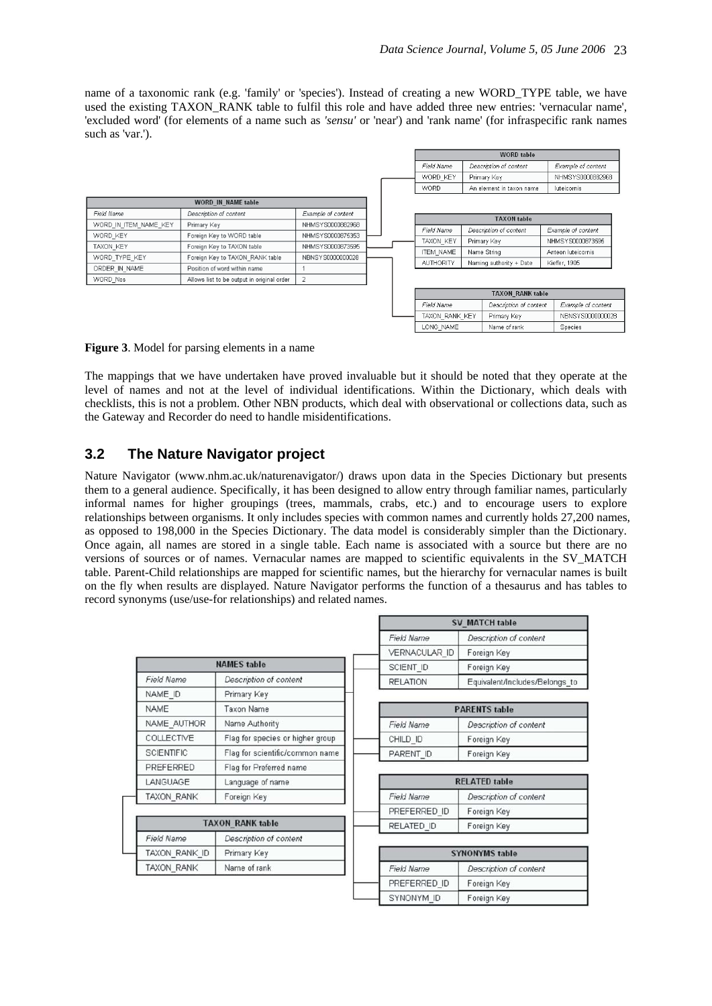name of a taxonomic rank (e.g. 'family' or 'species'). Instead of creating a new WORD\_TYPE table, we have used the existing TAXON\_RANK table to fulfil this role and have added three new entries: 'vernacular name', 'excluded word' (for elements of a name such as *'sensu'* or 'near') and 'rank name' (for infraspecific rank names such as 'var.').

|                       |                                            |                    |  |  |                  | <b>WORD</b> table |                          |                    |  |  |
|-----------------------|--------------------------------------------|--------------------|--|--|------------------|-------------------|--------------------------|--------------------|--|--|
|                       |                                            |                    |  |  | Field Name       |                   | Description of content   | Example of content |  |  |
|                       |                                            |                    |  |  | WORD KEY         | Primary Key       |                          | NHMSYS0000882968   |  |  |
|                       |                                            |                    |  |  | <b>WORD</b>      |                   | An element in taxon name | luteicornis        |  |  |
|                       | <b>WORD IN NAME table</b>                  |                    |  |  |                  |                   |                          |                    |  |  |
| Field Name            | Description of content                     | Example of content |  |  |                  |                   | <b>TAXON</b> table       |                    |  |  |
| WORD_IN_ITEM_NAME_KEY | Primary Key                                | NHMSYS0000882968   |  |  |                  |                   |                          |                    |  |  |
| WORD KEY              | Foreign Key to WORD table                  | NHMSYS0000875353   |  |  | Field Name       |                   | Description of content   | Example of content |  |  |
| TAXON KEY             | Foreign Key to TAXON table                 | NHMSYS0000873595   |  |  | <b>TAXON KEY</b> | Primary Key       |                          | NHMSYS0000873595   |  |  |
| WORD_TYPE_KEY         | Foreign Key to TAXON RANK table            | NBNSYS0000000028   |  |  | <b>ITEM NAME</b> | Name String       |                          | Anteon luteicomis  |  |  |
|                       |                                            |                    |  |  | <b>AUTHORITY</b> |                   | Naming authority + Date  | Kieffer, 1905      |  |  |
| ORDER IN NAME         | Position of word within name               |                    |  |  |                  |                   |                          |                    |  |  |
| WORD Nos              | Allows list to be output in original order | 2                  |  |  |                  |                   |                          |                    |  |  |
|                       |                                            |                    |  |  |                  |                   | <b>TAXON RANK table</b>  |                    |  |  |
|                       |                                            |                    |  |  | Field Name       |                   | Description of content   | Example of content |  |  |
|                       |                                            |                    |  |  | TAXON RANK KEY   |                   | Primary Key              | NBNSYS0000000028   |  |  |
|                       |                                            |                    |  |  | LONG NAME        |                   | Name of rank             | <b>Species</b>     |  |  |

#### **Figure 3**. Model for parsing elements in a name

The mappings that we have undertaken have proved invaluable but it should be noted that they operate at the level of names and not at the level of individual identifications. Within the Dictionary, which deals with checklists, this is not a problem. Other NBN products, which deal with observational or collections data, such as the Gateway and Recorder do need to handle misidentifications.

### **3.2 The Nature Navigator project**

Nature Navigator (www.nhm.ac.uk/naturenavigator/) draws upon data in the Species Dictionary but presents them to a general audience. Specifically, it has been designed to allow entry through familiar names, particularly informal names for higher groupings (trees, mammals, crabs, etc.) and to encourage users to explore relationships between organisms. It only includes species with common names and currently holds 27,200 names, as opposed to 198,000 in the Species Dictionary. The data model is considerably simpler than the Dictionary. Once again, all names are stored in a single table. Each name is associated with a source but there are no versions of sources or of names. Vernacular names are mapped to scientific equivalents in the SV\_MATCH table. Parent-Child relationships are mapped for scientific names, but the hierarchy for vernacular names is built on the fly when results are displayed. Nature Navigator performs the function of a thesaurus and has tables to record synonyms (use/use-for relationships) and related names.

|                   |                                  | <b>SV MATCH table</b> |                                |  |  |  |  |  |
|-------------------|----------------------------------|-----------------------|--------------------------------|--|--|--|--|--|
|                   |                                  | <b>Field Name</b>     | Description of content         |  |  |  |  |  |
|                   |                                  | VERNACULAR ID         | Foreign Key                    |  |  |  |  |  |
|                   | <b>NAMES</b> table               | SCIENT ID             | Foreign Key                    |  |  |  |  |  |
| Field Name        | Description of content           | <b>RELATION</b>       | Equivalent/Includes/Belongs_to |  |  |  |  |  |
| NAME ID           | Primary Key                      |                       |                                |  |  |  |  |  |
| <b>NAME</b>       | <b>Taxon Name</b>                |                       | <b>PARENTS</b> table           |  |  |  |  |  |
| NAME AUTHOR       | Name Authority                   | Field Name            | Description of content         |  |  |  |  |  |
| COLLECTIVE        | Flag for species or higher group | CHILD_ID              | Foreign Key                    |  |  |  |  |  |
| <b>SCIENTIFIC</b> | Flag for scientific/common name  | PARENT ID             | Foreign Key                    |  |  |  |  |  |
| PREFERRED         | Flag for Preferred name          |                       |                                |  |  |  |  |  |
| LANGUAGE          | Language of name                 |                       | <b>RELATED table</b>           |  |  |  |  |  |
| TAXON RANK        | Foreign Key                      | <b>Field Name</b>     | Description of content         |  |  |  |  |  |
|                   |                                  | PREFERRED ID          | Foreign Key                    |  |  |  |  |  |
|                   | <b>TAXON RANK table</b>          | RELATED ID            | Foreign Key                    |  |  |  |  |  |
| Field Name        | Description of content           |                       |                                |  |  |  |  |  |
| TAXON RANK ID     | Primary Key                      |                       | <b>SYNONYMS table</b>          |  |  |  |  |  |
| <b>TAXON RANK</b> | Name of rank                     | Field Name            | Description of content         |  |  |  |  |  |
|                   |                                  | PREFERRED ID          | Foreign Key                    |  |  |  |  |  |
|                   |                                  | SYNONYM ID            | Foreign Key                    |  |  |  |  |  |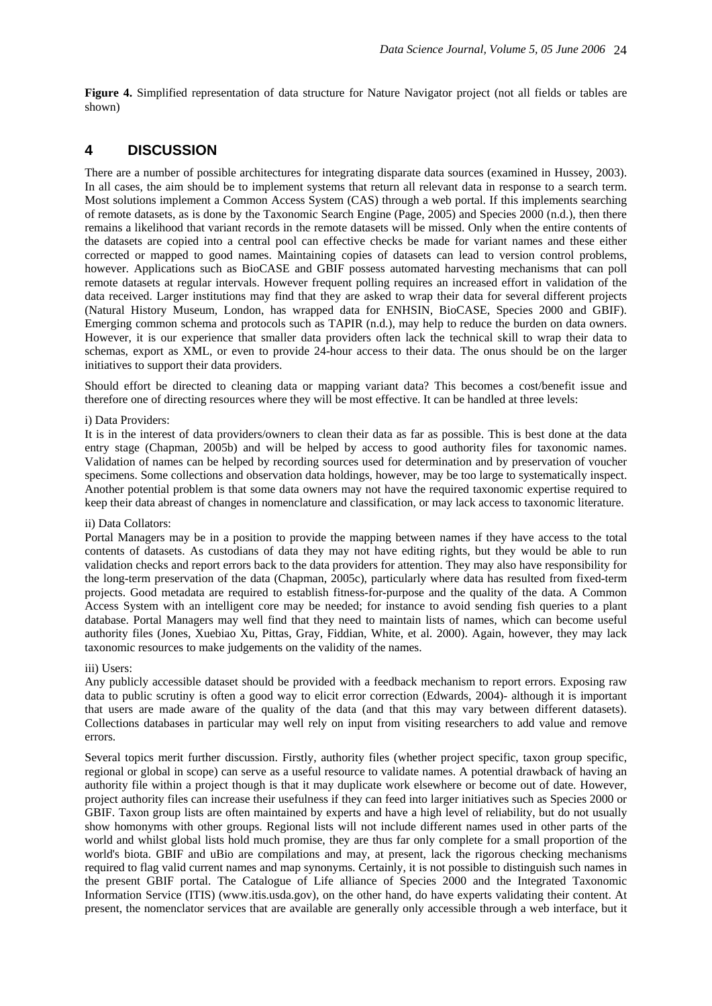**Figure 4.** Simplified representation of data structure for Nature Navigator project (not all fields or tables are shown)

### **4 DISCUSSION**

There are a number of possible architectures for integrating disparate data sources (examined in Hussey, 2003). In all cases, the aim should be to implement systems that return all relevant data in response to a search term. Most solutions implement a Common Access System (CAS) through a web portal. If this implements searching of remote datasets, as is done by the Taxonomic Search Engine (Page, 2005) and Species 2000 (n.d.), then there remains a likelihood that variant records in the remote datasets will be missed. Only when the entire contents of the datasets are copied into a central pool can effective checks be made for variant names and these either corrected or mapped to good names. Maintaining copies of datasets can lead to version control problems, however. Applications such as BioCASE and GBIF possess automated harvesting mechanisms that can poll remote datasets at regular intervals. However frequent polling requires an increased effort in validation of the data received. Larger institutions may find that they are asked to wrap their data for several different projects (Natural History Museum, London, has wrapped data for ENHSIN, BioCASE, Species 2000 and GBIF). Emerging common schema and protocols such as TAPIR (n.d.), may help to reduce the burden on data owners. However, it is our experience that smaller data providers often lack the technical skill to wrap their data to schemas, export as XML, or even to provide 24-hour access to their data. The onus should be on the larger initiatives to support their data providers.

Should effort be directed to cleaning data or mapping variant data? This becomes a cost/benefit issue and therefore one of directing resources where they will be most effective. It can be handled at three levels:

#### i) Data Providers:

It is in the interest of data providers/owners to clean their data as far as possible. This is best done at the data entry stage (Chapman, 2005b) and will be helped by access to good authority files for taxonomic names. Validation of names can be helped by recording sources used for determination and by preservation of voucher specimens. Some collections and observation data holdings, however, may be too large to systematically inspect. Another potential problem is that some data owners may not have the required taxonomic expertise required to keep their data abreast of changes in nomenclature and classification, or may lack access to taxonomic literature.

#### ii) Data Collators:

Portal Managers may be in a position to provide the mapping between names if they have access to the total contents of datasets. As custodians of data they may not have editing rights, but they would be able to run validation checks and report errors back to the data providers for attention. They may also have responsibility for the long-term preservation of the data (Chapman, 2005c), particularly where data has resulted from fixed-term projects. Good metadata are required to establish fitness-for-purpose and the quality of the data. A Common Access System with an intelligent core may be needed; for instance to avoid sending fish queries to a plant database. Portal Managers may well find that they need to maintain lists of names, which can become useful authority files (Jones, Xuebiao Xu, Pittas, Gray, Fiddian, White, et al. 2000). Again, however, they may lack taxonomic resources to make judgements on the validity of the names.

#### iii) Users:

Any publicly accessible dataset should be provided with a feedback mechanism to report errors. Exposing raw data to public scrutiny is often a good way to elicit error correction (Edwards, 2004)- although it is important that users are made aware of the quality of the data (and that this may vary between different datasets). Collections databases in particular may well rely on input from visiting researchers to add value and remove errors.

Several topics merit further discussion. Firstly, authority files (whether project specific, taxon group specific, regional or global in scope) can serve as a useful resource to validate names. A potential drawback of having an authority file within a project though is that it may duplicate work elsewhere or become out of date. However, project authority files can increase their usefulness if they can feed into larger initiatives such as Species 2000 or GBIF. Taxon group lists are often maintained by experts and have a high level of reliability, but do not usually show homonyms with other groups. Regional lists will not include different names used in other parts of the world and whilst global lists hold much promise, they are thus far only complete for a small proportion of the world's biota. GBIF and uBio are compilations and may, at present, lack the rigorous checking mechanisms required to flag valid current names and map synonyms. Certainly, it is not possible to distinguish such names in the present GBIF portal. The Catalogue of Life alliance of Species 2000 and the Integrated Taxonomic Information Service (ITIS) (www.itis.usda.gov), on the other hand, do have experts validating their content. At present, the nomenclator services that are available are generally only accessible through a web interface, but it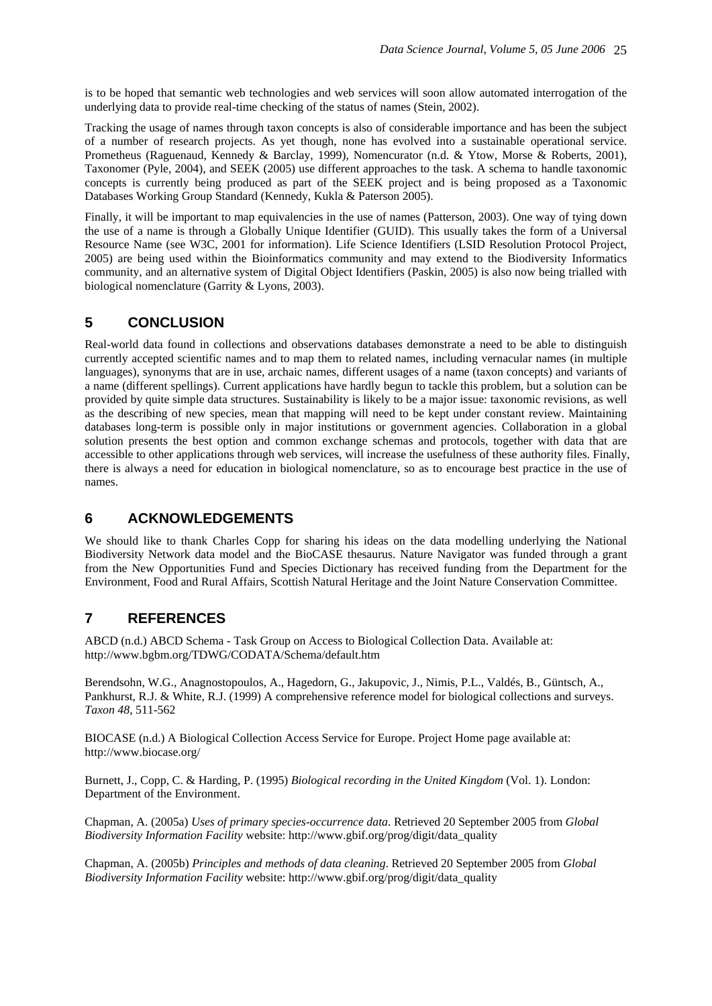is to be hoped that semantic web technologies and web services will soon allow automated interrogation of the underlying data to provide real-time checking of the status of names (Stein, 2002).

Tracking the usage of names through taxon concepts is also of considerable importance and has been the subject of a number of research projects. As yet though, none has evolved into a sustainable operational service. Prometheus (Raguenaud, Kennedy & Barclay, 1999), Nomencurator (n.d. & Ytow, Morse & Roberts, 2001), Taxonomer (Pyle, 2004), and SEEK (2005) use different approaches to the task. A schema to handle taxonomic concepts is currently being produced as part of the SEEK project and is being proposed as a Taxonomic Databases Working Group Standard (Kennedy, Kukla & Paterson 2005).

Finally, it will be important to map equivalencies in the use of names (Patterson, 2003). One way of tying down the use of a name is through a Globally Unique Identifier (GUID). This usually takes the form of a Universal Resource Name (see W3C, 2001 for information). Life Science Identifiers (LSID Resolution Protocol Project, 2005) are being used within the Bioinformatics community and may extend to the Biodiversity Informatics community, and an alternative system of Digital Object Identifiers (Paskin, 2005) is also now being trialled with biological nomenclature (Garrity & Lyons, 2003).

# **5 CONCLUSION**

Real-world data found in collections and observations databases demonstrate a need to be able to distinguish currently accepted scientific names and to map them to related names, including vernacular names (in multiple languages), synonyms that are in use, archaic names, different usages of a name (taxon concepts) and variants of a name (different spellings). Current applications have hardly begun to tackle this problem, but a solution can be provided by quite simple data structures. Sustainability is likely to be a major issue: taxonomic revisions, as well as the describing of new species, mean that mapping will need to be kept under constant review. Maintaining databases long-term is possible only in major institutions or government agencies. Collaboration in a global solution presents the best option and common exchange schemas and protocols, together with data that are accessible to other applications through web services, will increase the usefulness of these authority files. Finally, there is always a need for education in biological nomenclature, so as to encourage best practice in the use of names.

# **6 ACKNOWLEDGEMENTS**

We should like to thank Charles Copp for sharing his ideas on the data modelling underlying the National Biodiversity Network data model and the BioCASE thesaurus. Nature Navigator was funded through a grant from the New Opportunities Fund and Species Dictionary has received funding from the Department for the Environment, Food and Rural Affairs, Scottish Natural Heritage and the Joint Nature Conservation Committee.

# **7 REFERENCES**

ABCD (n.d.) ABCD Schema - Task Group on Access to Biological Collection Data. Available at: http://www.bgbm.org/TDWG/CODATA/Schema/default.htm

Berendsohn, W.G., Anagnostopoulos, A., Hagedorn, G., Jakupovic, J., Nimis, P.L., Valdés, B., Güntsch, A., Pankhurst, R.J. & White, R.J. (1999) A comprehensive reference model for biological collections and surveys. *Taxon 48*, 511-562

BIOCASE (n.d.) A Biological Collection Access Service for Europe. Project Home page available at: http://www.biocase.org/

Burnett, J., Copp, C. & Harding, P. (1995) *Biological recording in the United Kingdom* (Vol. 1). London: Department of the Environment.

Chapman, A. (2005a) *Uses of primary species-occurrence data*. Retrieved 20 September 2005 from *Global Biodiversity Information Facility* website: http://www.gbif.org/prog/digit/data\_quality

Chapman, A. (2005b) *Principles and methods of data cleaning*. Retrieved 20 September 2005 from *Global Biodiversity Information Facility* website: http://www.gbif.org/prog/digit/data\_quality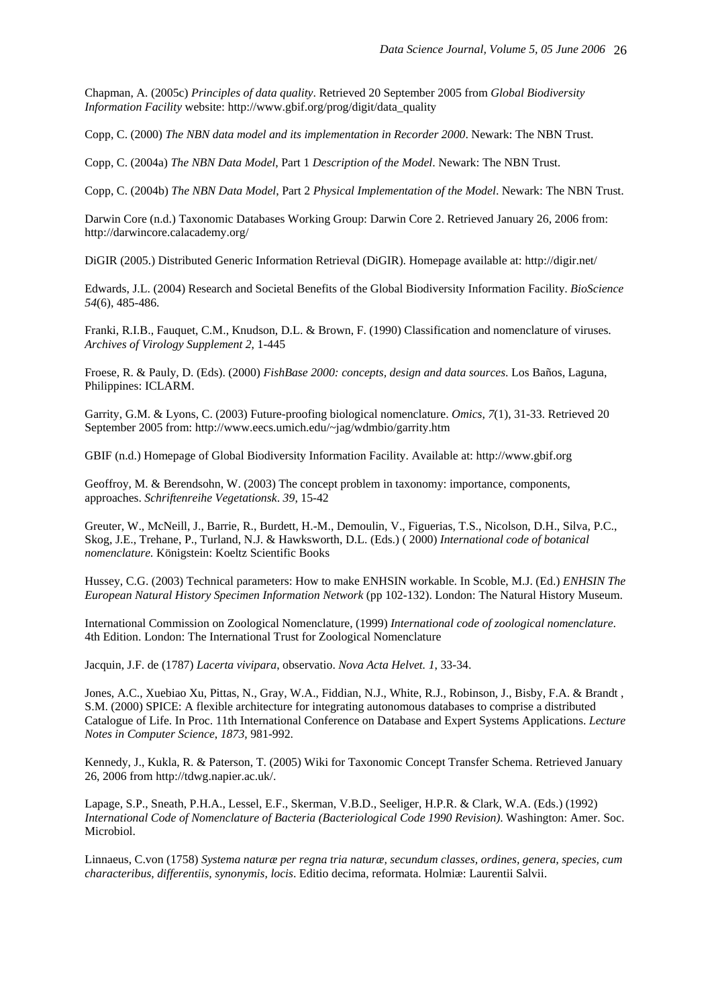Chapman, A. (2005c) *Principles of data quality*. Retrieved 20 September 2005 from *Global Biodiversity Information Facility* website: http://www.gbif.org/prog/digit/data\_quality

Copp, C. (2000) *The NBN data model and its implementation in Recorder 2000*. Newark: The NBN Trust.

Copp, C. (2004a) *The NBN Data Model*, Part 1 *Description of the Model*. Newark: The NBN Trust.

Copp, C. (2004b) *The NBN Data Model*, Part 2 *Physical Implementation of the Model*. Newark: The NBN Trust.

Darwin Core (n.d.) Taxonomic Databases Working Group: Darwin Core 2. Retrieved January 26, 2006 from: http://darwincore.calacademy.org/

DiGIR (2005.) Distributed Generic Information Retrieval (DiGIR). Homepage available at: http://digir.net/

Edwards, J.L. (2004) Research and Societal Benefits of the Global Biodiversity Information Facility. *BioScience 54*(6), 485-486.

Franki, R.I.B., Fauquet, C.M., Knudson, D.L. & Brown, F. (1990) Classification and nomenclature of viruses. *Archives of Virology Supplement 2*, 1-445

Froese, R. & Pauly, D. (Eds). (2000) *FishBase 2000: concepts, design and data sources*. Los Baños, Laguna, Philippines: ICLARM.

Garrity, G.M. & Lyons, C. (2003) Future-proofing biological nomenclature. *Omics*, *7*(1), 31-33. Retrieved 20 September 2005 from: http://www.eecs.umich.edu/~jag/wdmbio/garrity.htm

GBIF (n.d.) Homepage of Global Biodiversity Information Facility. Available at: http://www.gbif.org

Geoffroy, M. & Berendsohn, W. (2003) The concept problem in taxonomy: importance, components, approaches. *Schriftenreihe Vegetationsk*. *39*, 15-42

Greuter, W., McNeill, J., Barrie, R., Burdett, H.-M., Demoulin, V., Figuerias, T.S., Nicolson, D.H., Silva, P.C., Skog, J.E., Trehane, P., Turland, N.J. & Hawksworth, D.L. (Eds.) ( 2000) *International code of botanical nomenclature.* Königstein: Koeltz Scientific Books

Hussey, C.G. (2003) Technical parameters: How to make ENHSIN workable. In Scoble, M.J. (Ed.) *ENHSIN The European Natural History Specimen Information Network* (pp 102-132). London: The Natural History Museum.

International Commission on Zoological Nomenclature, (1999) *International code of zoological nomenclature*. 4th Edition. London: The International Trust for Zoological Nomenclature

Jacquin, J.F. de (1787) *Lacerta vivipara*, observatio. *Nova Acta Helvet. 1*, 33-34.

Jones, A.C., Xuebiao Xu, Pittas, N., Gray, W.A., Fiddian, N.J., White, R.J., Robinson, J., Bisby, F.A. & Brandt , S.M. (2000) SPICE: A flexible architecture for integrating autonomous databases to comprise a distributed Catalogue of Life. In Proc. 11th International Conference on Database and Expert Systems Applications. *Lecture Notes in Computer Science*, *1873*, 981-992.

Kennedy, J., Kukla, R. & Paterson, T. (2005) Wiki for Taxonomic Concept Transfer Schema. Retrieved January 26, 2006 from http://tdwg.napier.ac.uk/.

Lapage, S.P., Sneath, P.H.A., Lessel, E.F., Skerman, V.B.D., Seeliger, H.P.R. & Clark, W.A. (Eds.) (1992) *International Code of Nomenclature of Bacteria (Bacteriological Code 1990 Revision)*. Washington: Amer. Soc. Microbiol.

Linnaeus, C.von (1758) *Systema naturæ per regna tria naturæ, secundum classes, ordines, genera, species, cum characteribus, differentiis, synonymis, locis*. Editio decima, reformata. Holmiæ: Laurentii Salvii.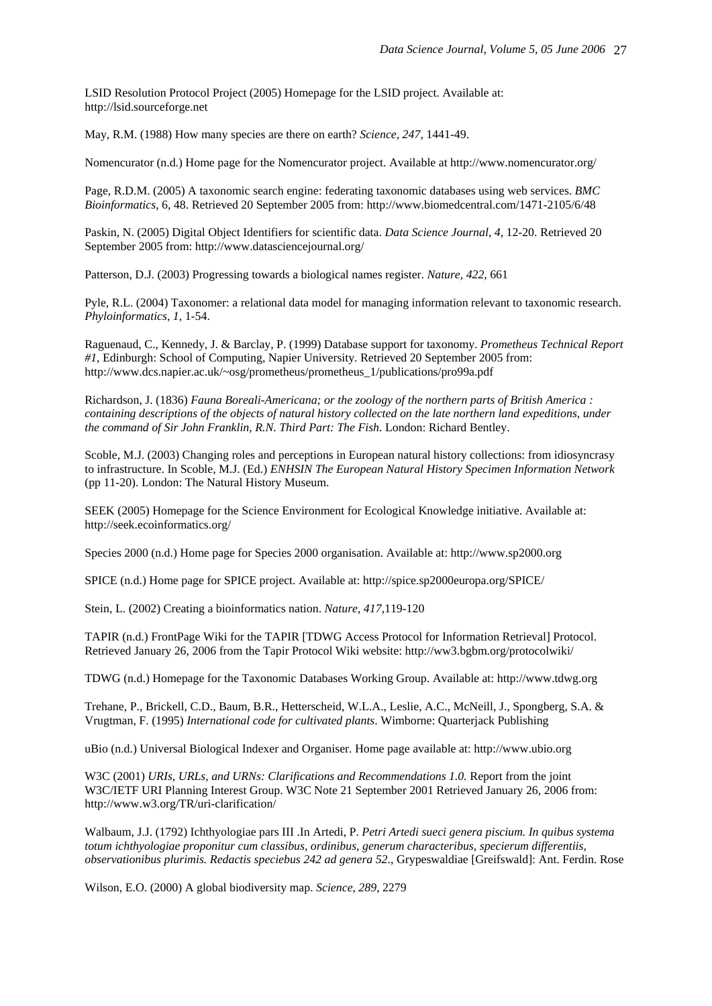LSID Resolution Protocol Project (2005) Homepage for the LSID project. Available at: http://lsid.sourceforge.net

May, R.M. (1988) How many species are there on earth? *Science, 247*, 1441-49.

Nomencurator (n.d.) Home page for the Nomencurator project. Available at http://www.nomencurator.org/

Page, R.D.M. (2005) A taxonomic search engine: federating taxonomic databases using web services. *BMC Bioinformatics*, 6, 48. Retrieved 20 September 2005 from: http://www.biomedcentral.com/1471-2105/6/48

Paskin, N. (2005) Digital Object Identifiers for scientific data. *Data Science Journal*, *4*, 12-20. Retrieved 20 September 2005 from: http://www.datasciencejournal.org/

Patterson, D.J. (2003) Progressing towards a biological names register. *Nature, 422*, 661

Pyle, R.L. (2004) Taxonomer: a relational data model for managing information relevant to taxonomic research. *Phyloinformatics, 1*, 1-54.

Raguenaud, C., Kennedy, J. & Barclay, P. (1999) Database support for taxonomy. *Prometheus Technical Report #1*, Edinburgh: School of Computing, Napier University. Retrieved 20 September 2005 from: http://www.dcs.napier.ac.uk/~osg/prometheus/prometheus\_1/publications/pro99a.pdf

Richardson, J. (1836) *Fauna Boreali-Americana; or the zoology of the northern parts of British America : containing descriptions of the objects of natural history collected on the late northern land expeditions, under the command of Sir John Franklin, R.N. Third Part: The Fish*. London: Richard Bentley.

Scoble, M.J. (2003) Changing roles and perceptions in European natural history collections: from idiosyncrasy to infrastructure. In Scoble, M.J. (Ed.) *ENHSIN The European Natural History Specimen Information Network* (pp 11-20). London: The Natural History Museum.

SEEK (2005) Homepage for the Science Environment for Ecological Knowledge initiative. Available at: http://seek.ecoinformatics.org/

Species 2000 (n.d.) Home page for Species 2000 organisation. Available at: http://www.sp2000.org

SPICE (n.d.) Home page for SPICE project. Available at: http://spice.sp2000europa.org/SPICE/

Stein, L. (2002) Creating a bioinformatics nation. *Nature*, *417*,119-120

TAPIR (n.d.) FrontPage Wiki for the TAPIR [TDWG Access Protocol for Information Retrieval] Protocol. Retrieved January 26, 2006 from the Tapir Protocol Wiki website: http://ww3.bgbm.org/protocolwiki/

TDWG (n.d.) Homepage for the Taxonomic Databases Working Group. Available at: http://www.tdwg.org

Trehane, P., Brickell, C.D., Baum, B.R., Hetterscheid, W.L.A., Leslie, A.C., McNeill, J., Spongberg, S.A. & Vrugtman, F. (1995) *International code for cultivated plants*. Wimborne: Quarterjack Publishing

uBio (n.d.) Universal Biological Indexer and Organiser. Home page available at: http://www.ubio.org

W3C (2001) *URIs, URLs, and URNs: Clarifications and Recommendations 1.0.* Report from the joint W3C/IETF URI Planning Interest Group. W3C Note 21 September 2001 Retrieved January 26, 2006 from: http://www.w3.org/TR/uri-clarification/

Walbaum, J.J. (1792) Ichthyologiae pars III .In Artedi, P. *Petri Artedi sueci genera piscium. In quibus systema totum ichthyologiae proponitur cum classibus, ordinibus, generum characteribus, specierum differentiis, observationibus plurimis. Redactis speciebus 242 ad genera 52*., Grypeswaldiae [Greifswald]: Ant. Ferdin. Rose

Wilson, E.O. (2000) A global biodiversity map. *Science*, *289*, 2279